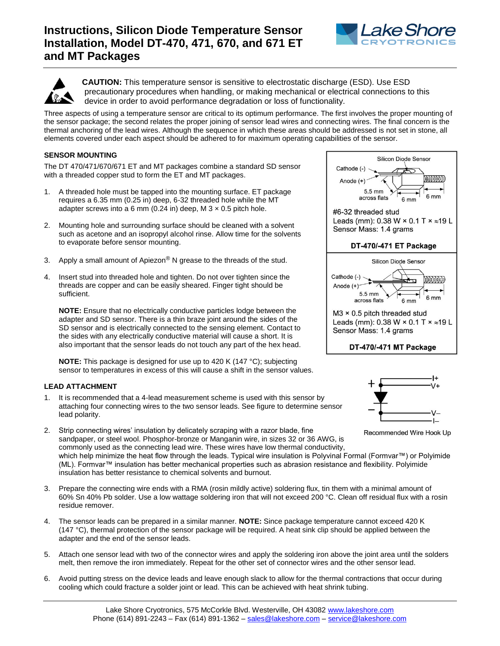# **Instructions, Silicon Diode Temperature Sensor Installation, Model DT-470, 471, 670, and 671 ET and MT Packages**





**CAUTION:** This temperature sensor is sensitive to electrostatic discharge (ESD). Use ESD precautionary procedures when handling, or making mechanical or electrical connections to this device in order to avoid performance degradation or loss of functionality.

Three aspects of using a temperature sensor are critical to its optimum performance. The first involves the proper mounting of the sensor package; the second relates the proper joining of sensor lead wires and connecting wires. The final concern is the thermal anchoring of the lead wires. Although the sequence in which these areas should be addressed is not set in stone, all elements covered under each aspect should be adhered to for maximum operating capabilities of the sensor.

## **SENSOR MOUNTING**

The DT 470/471/670/671 ET and MT packages combine a standard SD sensor with a threaded copper stud to form the ET and MT packages.

- 1. A threaded hole must be tapped into the mounting surface. ET package requires a 6.35 mm (0.25 in) deep, 6-32 threaded hole while the MT adapter screws into a 6 mm (0.24 in) deep, M  $3 \times 0.5$  pitch hole.
- 2. Mounting hole and surrounding surface should be cleaned with a solvent such as acetone and an isopropyl alcohol rinse. Allow time for the solvents to evaporate before sensor mounting.
- 3. Apply a small amount of Apiezon® N grease to the threads of the stud.
- 4. Insert stud into threaded hole and tighten. Do not over tighten since the threads are copper and can be easily sheared. Finger tight should be sufficient.

**NOTE:** Ensure that no electrically conductive particles lodge between the adapter and SD sensor. There is a thin braze joint around the sides of the SD sensor and is electrically connected to the sensing element. Contact to the sides with any electrically conductive material will cause a short. It is also important that the sensor leads do not touch any part of the hex head.

**NOTE:** This package is designed for use up to 420 K (147 °C); subjecting sensor to temperatures in excess of this will cause a shift in the sensor values.

### **LEAD ATTACHMENT**

- 1. It is recommended that a 4-lead measurement scheme is used with this sensor by attaching four connecting wires to the two sensor leads. See figure to determine sensor lead polarity.
- 2. Strip connecting wires' insulation by delicately scraping with a razor blade, fine sandpaper, or steel wool. Phosphor-bronze or Manganin wire, in sizes 32 or 36 AWG, is commonly used as the connecting lead wire. These wires have low thermal conductivity,

which help minimize the heat flow through the leads. Typical wire insulation is Polyvinal Formal (Formvar™) or Polyimide (ML). Formvar™ insulation has better mechanical properties such as abrasion resistance and flexibility. Polyimide insulation has better resistance to chemical solvents and burnout.

- 3. Prepare the connecting wire ends with a RMA (rosin mildly active) soldering flux, tin them with a minimal amount of 60% Sn 40% Pb solder. Use a low wattage soldering iron that will not exceed 200 °C. Clean off residual flux with a rosin residue remover.
- 4. The sensor leads can be prepared in a similar manner. **NOTE:** Since package temperature cannot exceed 420 K (147 °C), thermal protection of the sensor package will be required. A heat sink clip should be applied between the adapter and the end of the sensor leads.
- 5. Attach one sensor lead with two of the connector wires and apply the soldering iron above the joint area until the solders melt, then remove the iron immediately. Repeat for the other set of connector wires and the other sensor lead.
- 6. Avoid putting stress on the device leads and leave enough slack to allow for the thermal contractions that occur during cooling which could fracture a solder joint or lead. This can be achieved with heat shrink tubing.